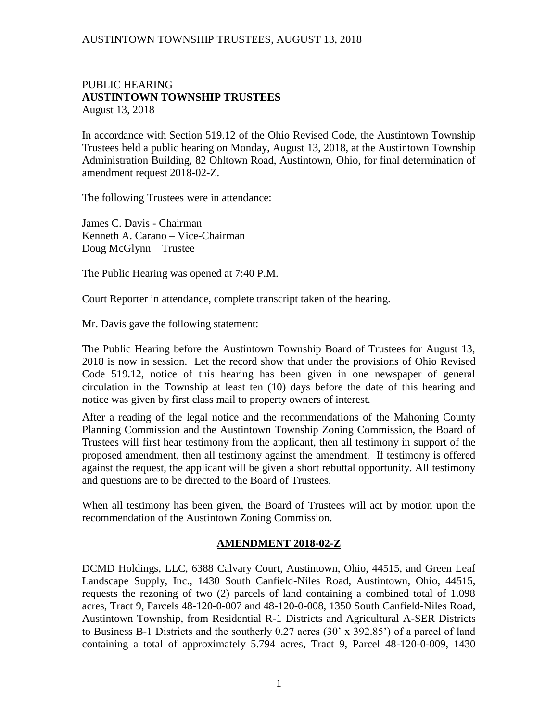### PUBLIC HEARING **AUSTINTOWN TOWNSHIP TRUSTEES** August 13, 2018

In accordance with Section 519.12 of the Ohio Revised Code, the Austintown Township Trustees held a public hearing on Monday, August 13, 2018, at the Austintown Township Administration Building, 82 Ohltown Road, Austintown, Ohio, for final determination of amendment request 2018-02-Z.

The following Trustees were in attendance:

James C. Davis - Chairman Kenneth A. Carano – Vice-Chairman Doug McGlynn – Trustee

The Public Hearing was opened at 7:40 P.M.

Court Reporter in attendance, complete transcript taken of the hearing.

Mr. Davis gave the following statement:

The Public Hearing before the Austintown Township Board of Trustees for August 13, 2018 is now in session. Let the record show that under the provisions of Ohio Revised Code 519.12, notice of this hearing has been given in one newspaper of general circulation in the Township at least ten (10) days before the date of this hearing and notice was given by first class mail to property owners of interest.

After a reading of the legal notice and the recommendations of the Mahoning County Planning Commission and the Austintown Township Zoning Commission, the Board of Trustees will first hear testimony from the applicant, then all testimony in support of the proposed amendment, then all testimony against the amendment. If testimony is offered against the request, the applicant will be given a short rebuttal opportunity. All testimony and questions are to be directed to the Board of Trustees.

When all testimony has been given, the Board of Trustees will act by motion upon the recommendation of the Austintown Zoning Commission.

#### **AMENDMENT 2018-02-Z**

DCMD Holdings, LLC, 6388 Calvary Court, Austintown, Ohio, 44515, and Green Leaf Landscape Supply, Inc., 1430 South Canfield-Niles Road, Austintown, Ohio, 44515, requests the rezoning of two (2) parcels of land containing a combined total of 1.098 acres, Tract 9, Parcels 48-120-0-007 and 48-120-0-008, 1350 South Canfield-Niles Road, Austintown Township, from Residential R-1 Districts and Agricultural A-SER Districts to Business B-1 Districts and the southerly 0.27 acres (30' x 392.85') of a parcel of land containing a total of approximately 5.794 acres, Tract 9, Parcel 48-120-0-009, 1430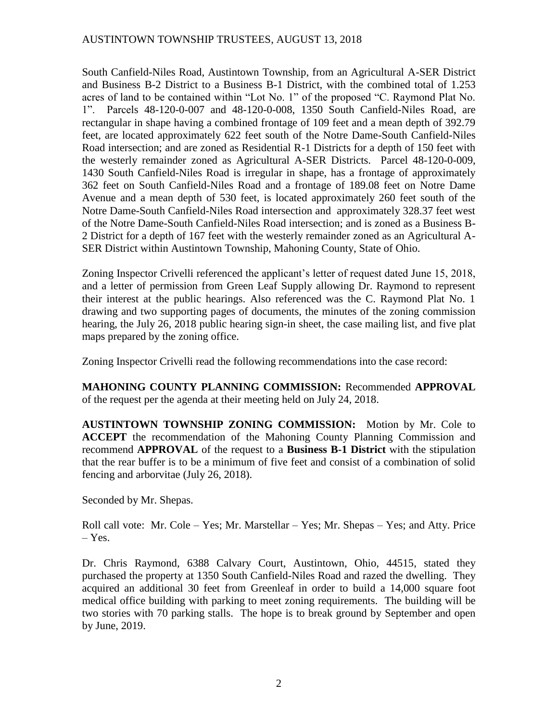## AUSTINTOWN TOWNSHIP TRUSTEES, AUGUST 13, 2018

South Canfield-Niles Road, Austintown Township, from an Agricultural A-SER District and Business B-2 District to a Business B-1 District, with the combined total of 1.253 acres of land to be contained within "Lot No. 1" of the proposed "C. Raymond Plat No. 1". Parcels 48-120-0-007 and 48-120-0-008, 1350 South Canfield-Niles Road, are rectangular in shape having a combined frontage of 109 feet and a mean depth of 392.79 feet, are located approximately 622 feet south of the Notre Dame-South Canfield-Niles Road intersection; and are zoned as Residential R-1 Districts for a depth of 150 feet with the westerly remainder zoned as Agricultural A-SER Districts. Parcel 48-120-0-009, 1430 South Canfield-Niles Road is irregular in shape, has a frontage of approximately 362 feet on South Canfield-Niles Road and a frontage of 189.08 feet on Notre Dame Avenue and a mean depth of 530 feet, is located approximately 260 feet south of the Notre Dame-South Canfield-Niles Road intersection and approximately 328.37 feet west of the Notre Dame-South Canfield-Niles Road intersection; and is zoned as a Business B-2 District for a depth of 167 feet with the westerly remainder zoned as an Agricultural A-SER District within Austintown Township, Mahoning County, State of Ohio.

Zoning Inspector Crivelli referenced the applicant's letter of request dated June 15, 2018, and a letter of permission from Green Leaf Supply allowing Dr. Raymond to represent their interest at the public hearings. Also referenced was the C. Raymond Plat No. 1 drawing and two supporting pages of documents, the minutes of the zoning commission hearing, the July 26, 2018 public hearing sign-in sheet, the case mailing list, and five plat maps prepared by the zoning office.

Zoning Inspector Crivelli read the following recommendations into the case record:

**MAHONING COUNTY PLANNING COMMISSION:** Recommended **APPROVAL** of the request per the agenda at their meeting held on July 24, 2018.

**AUSTINTOWN TOWNSHIP ZONING COMMISSION:** Motion by Mr. Cole to **ACCEPT** the recommendation of the Mahoning County Planning Commission and recommend **APPROVAL** of the request to a **Business B-1 District** with the stipulation that the rear buffer is to be a minimum of five feet and consist of a combination of solid fencing and arborvitae (July 26, 2018).

Seconded by Mr. Shepas.

Roll call vote: Mr. Cole – Yes; Mr. Marstellar – Yes; Mr. Shepas – Yes; and Atty. Price – Yes.

Dr. Chris Raymond, 6388 Calvary Court, Austintown, Ohio, 44515, stated they purchased the property at 1350 South Canfield-Niles Road and razed the dwelling. They acquired an additional 30 feet from Greenleaf in order to build a 14,000 square foot medical office building with parking to meet zoning requirements. The building will be two stories with 70 parking stalls. The hope is to break ground by September and open by June, 2019.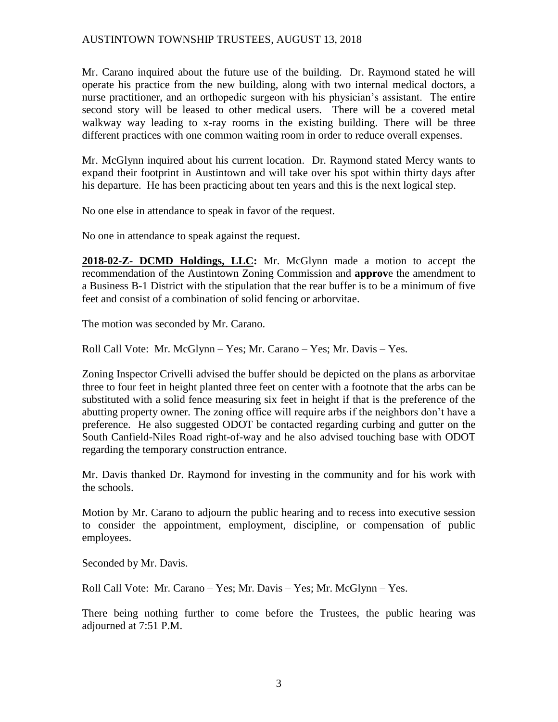## AUSTINTOWN TOWNSHIP TRUSTEES, AUGUST 13, 2018

Mr. Carano inquired about the future use of the building. Dr. Raymond stated he will operate his practice from the new building, along with two internal medical doctors, a nurse practitioner, and an orthopedic surgeon with his physician's assistant. The entire second story will be leased to other medical users. There will be a covered metal walkway way leading to x-ray rooms in the existing building. There will be three different practices with one common waiting room in order to reduce overall expenses.

Mr. McGlynn inquired about his current location. Dr. Raymond stated Mercy wants to expand their footprint in Austintown and will take over his spot within thirty days after his departure. He has been practicing about ten years and this is the next logical step.

No one else in attendance to speak in favor of the request.

No one in attendance to speak against the request.

**2018-02-Z- DCMD Holdings, LLC:** Mr. McGlynn made a motion to accept the recommendation of the Austintown Zoning Commission and **approv**e the amendment to a Business B-1 District with the stipulation that the rear buffer is to be a minimum of five feet and consist of a combination of solid fencing or arborvitae.

The motion was seconded by Mr. Carano.

Roll Call Vote: Mr. McGlynn – Yes; Mr. Carano – Yes; Mr. Davis – Yes.

Zoning Inspector Crivelli advised the buffer should be depicted on the plans as arborvitae three to four feet in height planted three feet on center with a footnote that the arbs can be substituted with a solid fence measuring six feet in height if that is the preference of the abutting property owner. The zoning office will require arbs if the neighbors don't have a preference. He also suggested ODOT be contacted regarding curbing and gutter on the South Canfield-Niles Road right-of-way and he also advised touching base with ODOT regarding the temporary construction entrance.

Mr. Davis thanked Dr. Raymond for investing in the community and for his work with the schools.

Motion by Mr. Carano to adjourn the public hearing and to recess into executive session to consider the appointment, employment, discipline, or compensation of public employees.

Seconded by Mr. Davis.

Roll Call Vote: Mr. Carano – Yes; Mr. Davis – Yes; Mr. McGlynn – Yes.

There being nothing further to come before the Trustees, the public hearing was adjourned at 7:51 P.M.